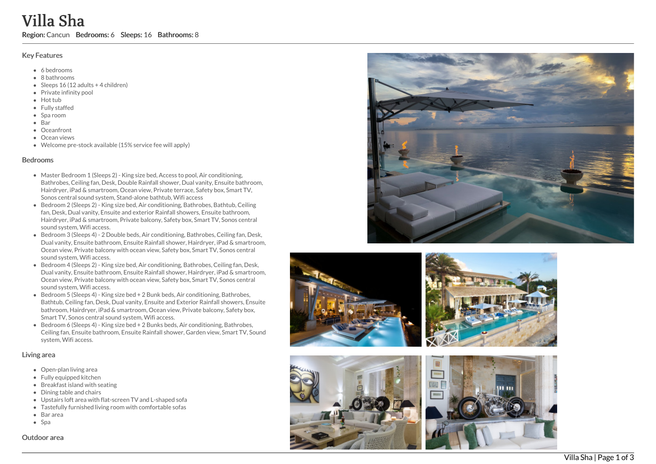#### Key Features

- 6 b e d r o o m s
- 8 bathrooms
- Sleeps 16 (12 adults + 4 children)
- Private infinity pool
- Hot tub
- Fully staffed
- Spa room
- Bar
- Oceanfront
- Ocean views
- Welcome pre-stock available (15% service fee will apply)

#### **Bedrooms**

- Master Bedroom 1 (Sleeps 2) King size bed, Access to pool, Air conditioning, Bathrobes, Ceiling fan, Desk, Double Rainfall shower, Dual vanity, Ensuite bathroom, Hairdryer, iPad & smartroom, Ocean view, Private terrace, Safety box, Smart TV, Sonos central sound system, Stand-alone bathtub, Wifi access
- Bedroom 2 (Sleeps 2) King size bed, Air conditioning, Bathrobes, Bathtub, Ceiling fan, Desk, Dual vanity, Ensuite and exterior Rainfall showers, Ensuite bathroom, Hairdryer, iPad & smartroom, Private balcony, Safety box, Smart TV, Sonos central sound system, Wifi access.
- Bedroom 3 (Sleeps 4) 2 Double beds, Air conditioning, Bathrobes, Ceiling fan, Desk, Dual vanity, Ensuite bathroom, Ensuite Rainfall shower, Hairdryer, iPad & smartroom, Ocean view, Private balcony with ocean view, Safety box, Smart TV, Sonos central sound system, Wifi access. **Villa Sha Region:** Cancun Bedrooms: 6 Sleeps: 16 Bathrooms: 8<br>
Key Features<br>
• 6 bedrooms<br>
• 8 bedrooms<br>
• 8 bedrooms<br>
• 8 bedrooms<br>
• Seps 16 (12 adults + 4 children)<br>
• Fully staffed<br>
• Europe area Victor pre-stock avai
	- Bedroom 4 (Sleeps 2) King size bed, Air conditioning, Bathrobes, Ceiling fan, Desk, Dual vanity, Ensuite bathroom, Ensuite Rainfall shower, Hairdryer, iPad & smartroom, Ocean view, Private balcony with ocean view, Safety box, Smart TV, Sonos central sound system, Wifi access.
	- Bedroom 5 (Sleeps 4) King size bed + 2 Bunk beds, Air conditioning, Bathrobes, Bathtub, Ceiling fan, Desk, Dual vanity, Ensuite and Exterior Rainfall showers, Ensuite bathroom, Hairdryer, iPad & smartroom, Ocean view, Private balcony, Safety box, Smart TV, Sonos central sound system, Wifi access.
	- Bedroom 6 (Sleeps 4) King size bed + 2 Bunks beds, Air conditioning, Bathrobes, Ceiling fan, Ensuite bathroom, Ensuite Rainfall shower, Garden view, Smart TV, Sound system, Wifi access.

## Living area

- Open-plan living area
- Fully equipped kitchen
- Breakfast island with seating
- Dining table and chairs
- Upstairs loft area with flat-screen TV and L-shaped sofa
- Tastefully furnished living room with comfortable sofas
- Bar area
- $\bullet$  Spa









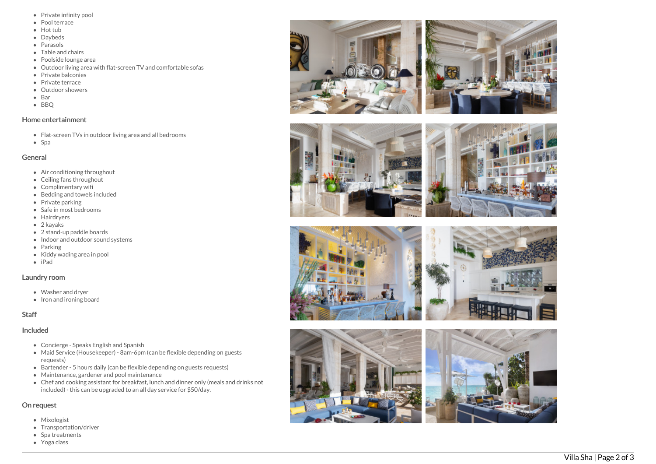- Private infinity pool
- Pool terrace
- Hot tub
- Daybeds
- Parasols
- Table and chairs
- Poolside lounge are a
- Outdoor living area with flat-screen TV and comfortable sofas
- Private balconies
- Private terrace
- Outdoor showers
- B a r
- B B Q

#### Home entertainment

- Flat-screen TVs in outdoor living area and all bedrooms
- S p a

## General

- Air conditioning throughout
- Ceiling fans throughout
- Complimentary wifi
- Bedding and towels in clu d e d
- Private parking
- Safe in most bedrooms
- **Hairdryers**
- 2 kayaks
- 2 stand-up paddle boards
- Indoor and outdoor sound systems
- Parking
- Kiddy wading area in pool
- iPad

## Laundry room

- Washer and dryer
- Iron and ironing board

# S t a f f

## **Included**

- Concierge Speaks English and Spanish
- Maid Service (Housekeeper) 8am-6pm (can be flexible depending on guests requests)
- Bartender 5 hours daily (can be flexible depending on guests requests)
- Maintenance, gardener and pool maintenance
- Chef and cooking assistant for breakfast, lunch and dinner only (meals and drinks not included) - this can be upgraded to an all day service for \$50/day.

# On request

- Mixologist
- Transportation/driver
- Spa treatments
- Yoga class